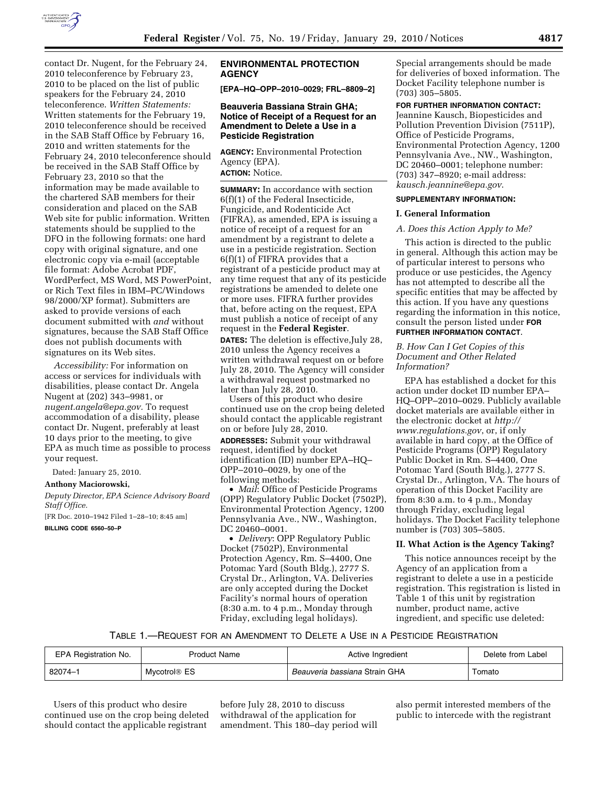

contact Dr. Nugent, for the February 24, 2010 teleconference by February 23, 2010 to be placed on the list of public speakers for the February 24, 2010 teleconference. *Written Statements:*  Written statements for the February 19, 2010 teleconference should be received in the SAB Staff Office by February 16, 2010 and written statements for the February 24, 2010 teleconference should be received in the SAB Staff Office by February 23, 2010 so that the information may be made available to the chartered SAB members for their consideration and placed on the SAB Web site for public information. Written statements should be supplied to the DFO in the following formats: one hard copy with original signature, and one electronic copy via e-mail (acceptable file format: Adobe Acrobat PDF, WordPerfect, MS Word, MS PowerPoint, or Rich Text files in IBM–PC/Windows 98/2000/XP format). Submitters are asked to provide versions of each document submitted with *and* without signatures, because the SAB Staff Office does not publish documents with signatures on its Web sites.

*Accessibility:* For information on access or services for individuals with disabilities, please contact Dr. Angela Nugent at (202) 343–9981, or *nugent.angela@epa.gov.* To request accommodation of a disability, please contact Dr. Nugent, preferably at least 10 days prior to the meeting, to give EPA as much time as possible to process your request.

Dated: January 25, 2010.

#### **Anthony Maciorowski,**

*Deputy Director, EPA Science Advisory Board Staff Office.* 

[FR Doc. 2010–1942 Filed 1–28–10; 8:45 am]

**BILLING CODE 6560–50–P** 

### **ENVIRONMENTAL PROTECTION AGENCY**

**[EPA–HQ–OPP–2010–0029; FRL–8809–2]** 

### **Beauveria Bassiana Strain GHA; Notice of Receipt of a Request for an Amendment to Delete a Use in a Pesticide Registration**

**AGENCY:** Environmental Protection Agency (EPA). **ACTION:** Notice.

**SUMMARY:** In accordance with section 6(f)(1) of the Federal Insecticide, Fungicide, and Rodenticide Act (FIFRA), as amended, EPA is issuing a notice of receipt of a request for an amendment by a registrant to delete a use in a pesticide registration. Section 6(f)(1) of FIFRA provides that a registrant of a pesticide product may at any time request that any of its pesticide registrations be amended to delete one or more uses. FIFRA further provides that, before acting on the request, EPA must publish a notice of receipt of any request in the **Federal Register**.

**DATES:** The deletion is effective, July 28, 2010 unless the Agency receives a written withdrawal request on or before July 28, 2010. The Agency will consider a withdrawal request postmarked no later than July 28, 2010.

Users of this product who desire continued use on the crop being deleted should contact the applicable registrant on or before July 28, 2010.

**ADDRESSES:** Submit your withdrawal request, identified by docket identification (ID) number EPA–HQ– OPP–2010–0029, by one of the following methods:

• *Mail*: Office of Pesticide Programs (OPP) Regulatory Public Docket (7502P), Environmental Protection Agency, 1200 Pennsylvania Ave., NW., Washington, DC 20460–0001.

• *Delivery*: OPP Regulatory Public Docket (7502P), Environmental Protection Agency, Rm. S–4400, One Potomac Yard (South Bldg.), 2777 S. Crystal Dr., Arlington, VA. Deliveries are only accepted during the Docket Facility's normal hours of operation (8:30 a.m. to 4 p.m., Monday through Friday, excluding legal holidays).

Special arrangements should be made for deliveries of boxed information. The Docket Facility telephone number is (703) 305–5805.

**FOR FURTHER INFORMATION CONTACT:**  Jeannine Kausch, Biopesticides and Pollution Prevention Division (7511P), Office of Pesticide Programs, Environmental Protection Agency, 1200 Pennsylvania Ave., NW., Washington, DC 20460–0001; telephone number: (703) 347–8920; e-mail address: *kausch.jeannine@epa.gov*.

#### **SUPPLEMENTARY INFORMATION:**

### **I. General Information**

#### *A. Does this Action Apply to Me?*

This action is directed to the public in general. Although this action may be of particular interest to persons who produce or use pesticides, the Agency has not attempted to describe all the specific entities that may be affected by this action. If you have any questions regarding the information in this notice, consult the person listed under **FOR FURTHER INFORMATION CONTACT**.

### *B. How Can I Get Copies of this Document and Other Related Information?*

EPA has established a docket for this action under docket ID number EPA– HQ–OPP–2010–0029. Publicly available docket materials are available either in the electronic docket at *http:// www.regulations.gov*, or, if only available in hard copy, at the Office of Pesticide Programs (OPP) Regulatory Public Docket in Rm. S–4400, One Potomac Yard (South Bldg.), 2777 S. Crystal Dr., Arlington, VA. The hours of operation of this Docket Facility are from 8:30 a.m. to 4 p.m., Monday through Friday, excluding legal holidays. The Docket Facility telephone number is (703) 305–5805.

#### **II. What Action is the Agency Taking?**

This notice announces receipt by the Agency of an application from a registrant to delete a use in a pesticide registration. This registration is listed in Table 1 of this unit by registration number, product name, active ingredient, and specific use deleted:

# TABLE 1.—REQUEST FOR AN AMENDMENT TO DELETE A USE IN A PESTICIDE REGISTRATION

| EPA Registration No. | <b>Product Name</b>      | Active Ingredient                    | Delete from Label |
|----------------------|--------------------------|--------------------------------------|-------------------|
| 82074-1              | Mycotrol <sup>®</sup> ES | <i>Beauveria bassiana</i> Strain GHA | Tomato            |

Users of this product who desire continued use on the crop being deleted should contact the applicable registrant

before July 28, 2010 to discuss withdrawal of the application for amendment. This 180–day period will also permit interested members of the public to intercede with the registrant